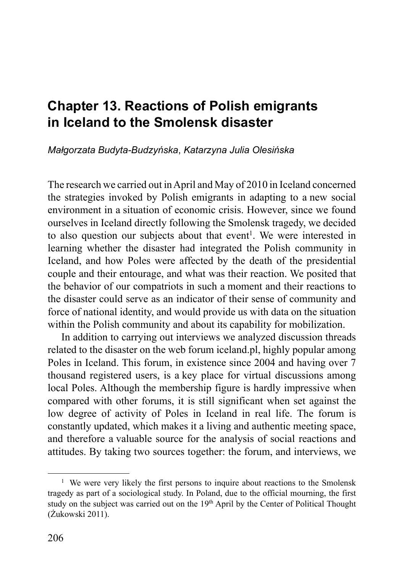# **Chapter 13. Reactions of Polish emigrants in Iceland to the Smolensk disaster**

*Małgorzata Budyta-Budzyńska*, *Katarzyna Julia Olesińska*

The research we carried out in April and May of 2010 in Iceland concerned the strategies invoked by Polish emigrants in adapting to a new social environment in a situation of economic crisis. However, since we found ourselves in Iceland directly following the Smolensk tragedy, we decided to also question our subjects about that event<sup>1</sup>. We were interested in learning whether the disaster had integrated the Polish community in Iceland, and how Poles were affected by the death of the presidential couple and their entourage, and what was their reaction. We posited that the behavior of our compatriots in such a moment and their reactions to the disaster could serve as an indicator of their sense of community and force of national identity, and would provide us with data on the situation within the Polish community and about its capability for mobilization.

In addition to carrying out interviews we analyzed discussion threads related to the disaster on the web forum iceland.pl, highly popular among Poles in Iceland. This forum, in existence since 2004 and having over 7 thousand registered users, is a key place for virtual discussions among local Poles. Although the membership figure is hardly impressive when compared with other forums, it is still significant when set against the low degree of activity of Poles in Iceland in real life. The forum is constantly updated, which makes it a living and authentic meeting space, and therefore a valuable source for the analysis of social reactions and attitudes. By taking two sources together: the forum, and interviews, we

<sup>&</sup>lt;sup>1</sup> We were very likely the first persons to inquire about reactions to the Smolensk tragedy as part of a sociological study. In Poland, due to the official mourning, the first study on the subject was carried out on the 19<sup>th</sup> April by the Center of Political Thought (Żukowski 2011).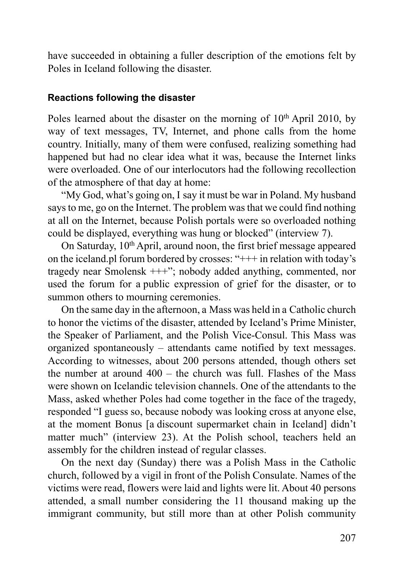have succeeded in obtaining a fuller description of the emotions felt by Poles in Iceland following the disaster.

### **Reactions following the disaster**

Poles learned about the disaster on the morning of  $10<sup>th</sup>$  April 2010, by way of text messages, TV, Internet, and phone calls from the home country. Initially, many of them were confused, realizing something had happened but had no clear idea what it was, because the Internet links were overloaded. One of our interlocutors had the following recollection of the atmosphere of that day at home:

"My God, what's going on, I say it must be war in Poland. My husband says to me, go on the Internet. The problem was that we could find nothing at all on the Internet, because Polish portals were so overloaded nothing could be displayed, everything was hung or blocked" (interview 7).

On Saturday, 10<sup>th</sup> April, around noon, the first brief message appeared on the iceland.pl forum bordered by crosses: "+++ in relation with today's tragedy near Smolensk +++"; nobody added anything, commented, nor used the forum for a public expression of grief for the disaster, or to summon others to mourning ceremonies.

On the same day in the afternoon, a Mass was held in a Catholic church to honor the victims of the disaster, attended by Iceland's Prime Minister, the Speaker of Parliament, and the Polish Vice-Consul. This Mass was organized spontaneously – attendants came notified by text messages. According to witnesses, about 200 persons attended, though others set the number at around 400 – the church was full. Flashes of the Mass were shown on Icelandic television channels. One of the attendants to the Mass, asked whether Poles had come together in the face of the tragedy, responded "I guess so, because nobody was looking cross at anyone else, at the moment Bonus [a discount supermarket chain in Iceland] didn't matter much" (interview 23). At the Polish school, teachers held an assembly for the children instead of regular classes.

On the next day (Sunday) there was a Polish Mass in the Catholic church, followed by a vigil in front of the Polish Consulate. Names of the victims were read, flowers were laid and lights were lit. About 40 persons attended, a small number considering the 11 thousand making up the immigrant community, but still more than at other Polish community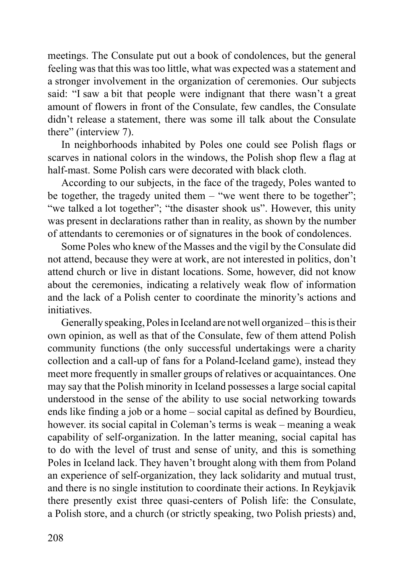meetings. The Consulate put out a book of condolences, but the general feeling was that this was too little, what was expected was a statement and a stronger involvement in the organization of ceremonies. Our subjects said: "I saw a bit that people were indignant that there wasn't a great amount of flowers in front of the Consulate, few candles, the Consulate didn't release a statement, there was some ill talk about the Consulate there" (interview 7).

In neighborhoods inhabited by Poles one could see Polish flags or scarves in national colors in the windows, the Polish shop flew a flag at half-mast. Some Polish cars were decorated with black cloth.

According to our subjects, in the face of the tragedy, Poles wanted to be together, the tragedy united them  $-$  "we went there to be together"; "we talked a lot together"; "the disaster shook us". However, this unity was present in declarations rather than in reality, as shown by the number of attendants to ceremonies or of signatures in the book of condolences.

Some Poles who knew of the Masses and the vigil by the Consulate did not attend, because they were at work, are not interested in politics, don't attend church or live in distant locations. Some, however, did not know about the ceremonies, indicating a relatively weak flow of information and the lack of a Polish center to coordinate the minority's actions and initiatives.

Generally speaking, Poles in Iceland are not well organized – this is their own opinion, as well as that of the Consulate, few of them attend Polish community functions (the only successful undertakings were a charity collection and a call-up of fans for a Poland-Iceland game), instead they meet more frequently in smaller groups of relatives or acquaintances. One may say that the Polish minority in Iceland possesses a large social capital understood in the sense of the ability to use social networking towards ends like finding a job or a home – social capital as defined by Bourdieu, however. its social capital in Coleman's terms is weak – meaning a weak capability of self-organization. In the latter meaning, social capital has to do with the level of trust and sense of unity, and this is something Poles in Iceland lack. They haven't brought along with them from Poland an experience of self-organization, they lack solidarity and mutual trust, and there is no single institution to coordinate their actions. In Reykjavik there presently exist three quasi-centers of Polish life: the Consulate, a Polish store, and a church (or strictly speaking, two Polish priests) and,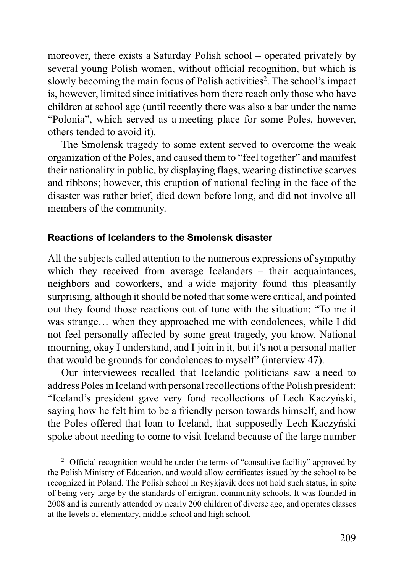moreover, there exists a Saturday Polish school – operated privately by several young Polish women, without official recognition, but which is slowly becoming the main focus of Polish activities<sup>2</sup>. The school's impact is, however, limited since initiatives born there reach only those who have children at school age (until recently there was also a bar under the name "Polonia", which served as a meeting place for some Poles, however, others tended to avoid it).

The Smolensk tragedy to some extent served to overcome the weak organization of the Poles, and caused them to "feel together" and manifest their nationality in public, by displaying flags, wearing distinctive scarves and ribbons; however, this eruption of national feeling in the face of the disaster was rather brief, died down before long, and did not involve all members of the community.

#### **Reactions of Icelanders to the Smolensk disaster**

All the subjects called attention to the numerous expressions of sympathy which they received from average Icelanders  $-$  their acquaintances, neighbors and coworkers, and a wide majority found this pleasantly surprising, although it should be noted that some were critical, and pointed out they found those reactions out of tune with the situation: "To me it was strange… when they approached me with condolences, while I did not feel personally affected by some great tragedy, you know. National mourning, okay I understand, and I join in it, but it's not a personal matter that would be grounds for condolences to myself" (interview 47).

Our interviewees recalled that Icelandic politicians saw a need to address Poles in Iceland with personal recollections of the Polish president: "Iceland's president gave very fond recollections of Lech Kaczyński, saying how he felt him to be a friendly person towards himself, and how the Poles offered that loan to Iceland, that supposedly Lech Kaczyński spoke about needing to come to visit Iceland because of the large number

<sup>&</sup>lt;sup>2</sup> Official recognition would be under the terms of "consultive facility" approved by the Polish Ministry of Education, and would allow certificates issued by the school to be recognized in Poland. The Polish school in Reykjavik does not hold such status, in spite of being very large by the standards of emigrant community schools. It was founded in 2008 and is currently attended by nearly 200 children of diverse age, and operates classes at the levels of elementary, middle school and high school.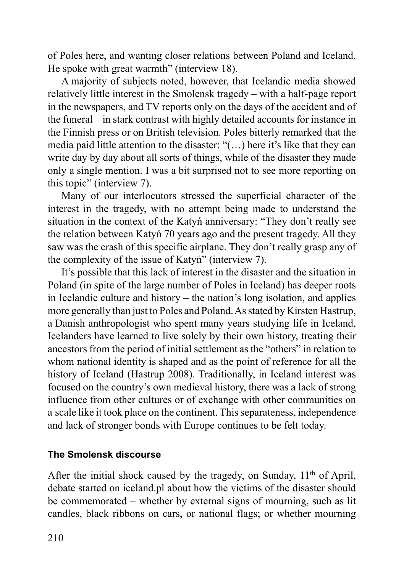of Poles here, and wanting closer relations between Poland and Iceland. He spoke with great warmth" (interview 18).

A majority of subjects noted, however, that Icelandic media showed relatively little interest in the Smolensk tragedy – with a half-page report in the newspapers, and TV reports only on the days of the accident and of the funeral – in stark contrast with highly detailed accounts for instance in the Finnish press or on British television. Poles bitterly remarked that the media paid little attention to the disaster: "(…) here it's like that they can write day by day about all sorts of things, while of the disaster they made only a single mention. I was a bit surprised not to see more reporting on this topic" (interview 7).

Many of our interlocutors stressed the superficial character of the interest in the tragedy, with no attempt being made to understand the situation in the context of the Katyń anniversary: "They don't really see the relation between Katyń 70 years ago and the present tragedy. All they saw was the crash of this specific airplane. They don't really grasp any of the complexity of the issue of Katyń" (interview 7).

It's possible that this lack of interest in the disaster and the situation in Poland (in spite of the large number of Poles in Iceland) has deeper roots in Icelandic culture and history – the nation's long isolation, and applies more generally than just to Poles and Poland. As stated by Kirsten Hastrup, a Danish anthropologist who spent many years studying life in Iceland, Icelanders have learned to live solely by their own history, treating their ancestors from the period of initial settlement as the "others" in relation to whom national identity is shaped and as the point of reference for all the history of Iceland (Hastrup 2008). Traditionally, in Iceland interest was focused on the country's own medieval history, there was a lack of strong influence from other cultures or of exchange with other communities on a scale like it took place on the continent. This separateness, independence and lack of stronger bonds with Europe continues to be felt today.

## **The Smolensk discourse**

After the initial shock caused by the tragedy, on Sunday,  $11<sup>th</sup>$  of April, debate started on iceland.pl about how the victims of the disaster should be commemorated – whether by external signs of mourning, such as lit candles, black ribbons on cars, or national flags; or whether mourning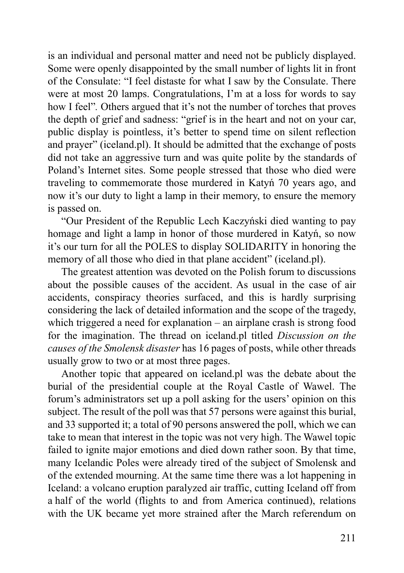is an individual and personal matter and need not be publicly displayed. Some were openly disappointed by the small number of lights lit in front of the Consulate: "I feel distaste for what I saw by the Consulate. There were at most 20 lamps. Congratulations, I'm at a loss for words to say how I feel"*.* Others argued that it's not the number of torches that proves the depth of grief and sadness: "grief is in the heart and not on your car, public display is pointless, it's better to spend time on silent reflection and prayer" (iceland.pl). It should be admitted that the exchange of posts did not take an aggressive turn and was quite polite by the standards of Poland's Internet sites. Some people stressed that those who died were traveling to commemorate those murdered in Katyń 70 years ago, and now it's our duty to light a lamp in their memory, to ensure the memory is passed on.

"Our President of the Republic Lech Kaczyński died wanting to pay homage and light a lamp in honor of those murdered in Katyń, so now it's our turn for all the POLES to display SOLIDARITY in honoring the memory of all those who died in that plane accident" (iceland.pl).

The greatest attention was devoted on the Polish forum to discussions about the possible causes of the accident. As usual in the case of air accidents, conspiracy theories surfaced, and this is hardly surprising considering the lack of detailed information and the scope of the tragedy, which triggered a need for explanation – an airplane crash is strong food for the imagination. The thread on iceland.pl titled *Discussion on the causes of the Smolensk disaster* has 16 pages of posts, while other threads usually grow to two or at most three pages.

Another topic that appeared on iceland.pl was the debate about the burial of the presidential couple at the Royal Castle of Wawel. The forum's administrators set up a poll asking for the users' opinion on this subject. The result of the poll was that 57 persons were against this burial, and 33 supported it; a total of 90 persons answered the poll, which we can take to mean that interest in the topic was not very high. The Wawel topic failed to ignite major emotions and died down rather soon. By that time, many Icelandic Poles were already tired of the subject of Smolensk and of the extended mourning. At the same time there was a lot happening in Iceland: a volcano eruption paralyzed air traffic, cutting Iceland off from a half of the world (flights to and from America continued), relations with the UK became yet more strained after the March referendum on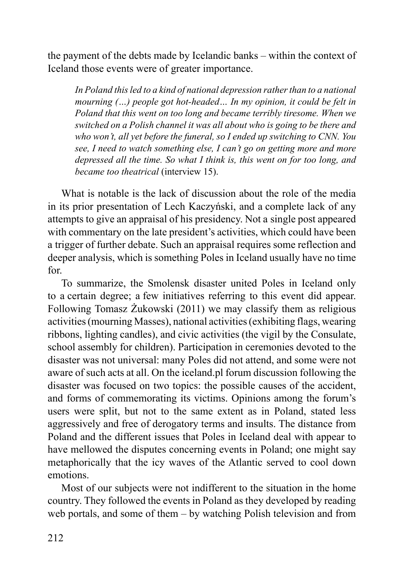the payment of the debts made by Icelandic banks – within the context of Iceland those events were of greater importance.

*In Poland this led to a kind of national depression rather than to a national mourning (…) people got hot-headed… In my opinion, it could be felt in Poland that this went on too long and became terribly tiresome. When we switched on a Polish channel it was all about who is going to be there and who won't, all yet before the funeral, so I ended up switching to CNN. You see, I need to watch something else, I can't go on getting more and more depressed all the time. So what I think is, this went on for too long, and became too theatrical* (interview 15).

What is notable is the lack of discussion about the role of the media in its prior presentation of Lech Kaczyński, and a complete lack of any attempts to give an appraisal of his presidency. Not a single post appeared with commentary on the late president's activities, which could have been a trigger of further debate. Such an appraisal requires some reflection and deeper analysis, which is something Poles in Iceland usually have no time for.

To summarize, the Smolensk disaster united Poles in Iceland only to a certain degree; a few initiatives referring to this event did appear. Following Tomasz Żukowski (2011) we may classify them as religious activities (mourning Masses), national activities (exhibiting flags, wearing ribbons, lighting candles), and civic activities (the vigil by the Consulate, school assembly for children). Participation in ceremonies devoted to the disaster was not universal: many Poles did not attend, and some were not aware of such acts at all. On the iceland.pl forum discussion following the disaster was focused on two topics: the possible causes of the accident, and forms of commemorating its victims. Opinions among the forum's users were split, but not to the same extent as in Poland, stated less aggressively and free of derogatory terms and insults. The distance from Poland and the different issues that Poles in Iceland deal with appear to have mellowed the disputes concerning events in Poland; one might say metaphorically that the icy waves of the Atlantic served to cool down emotions.

Most of our subjects were not indifferent to the situation in the home country. They followed the events in Poland as they developed by reading web portals, and some of them – by watching Polish television and from